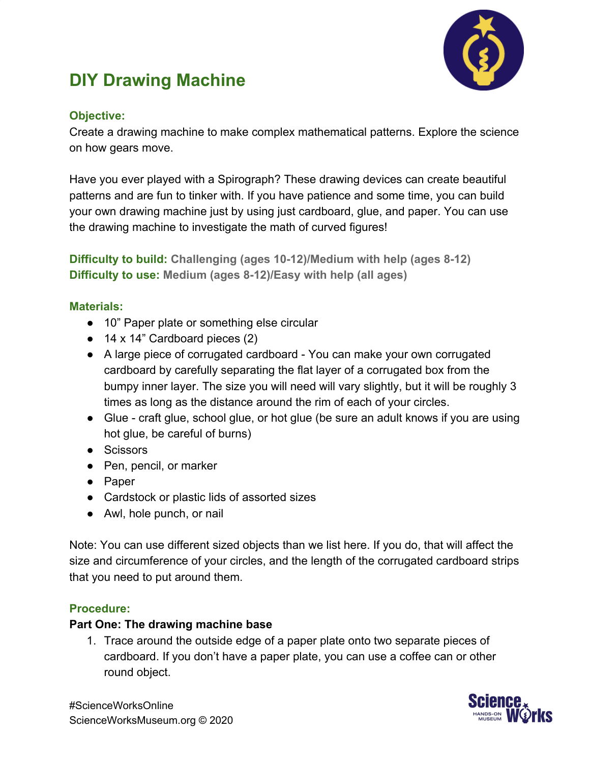

# **DIY Drawing Machine**

## **Objective:**

Create a drawing machine to make complex mathematical patterns. Explore the science on how gears move.

Have you ever played with a Spirograph? These drawing devices can create beautiful patterns and are fun to tinker with. If you have patience and some time, you can build your own drawing machine just by using just cardboard, glue, and paper. You can use the drawing machine to investigate the math of curved figures!

**Difficulty to build: Challenging (ages 10-12)/Medium with help (ages 8-12) Difficulty to use: Medium (ages 8-12)/Easy with help (all ages)**

## **Materials:**

- 10" Paper plate or something else circular
- 14 x 14" Cardboard pieces (2)
- A large piece of corrugated cardboard You can make your own corrugated cardboard by carefully separating the flat layer of a corrugated box from the bumpy inner layer. The size you will need will vary slightly, but it will be roughly 3 times as long as the distance around the rim of each of your circles.
- Glue craft glue, school glue, or hot glue (be sure an adult knows if you are using hot glue, be careful of burns)
- Scissors
- Pen, pencil, or marker
- Paper
- Cardstock or plastic lids of assorted sizes
- Awl, hole punch, or nail

Note: You can use different sized objects than we list here. If you do, that will affect the size and circumference of your circles, and the length of the corrugated cardboard strips that you need to put around them.

### **Procedure:**

### **Part One: The drawing machine base**

1. Trace around the outside edge of a paper plate onto two separate pieces of cardboard. If you don't have a paper plate, you can use a coffee can or other round object.



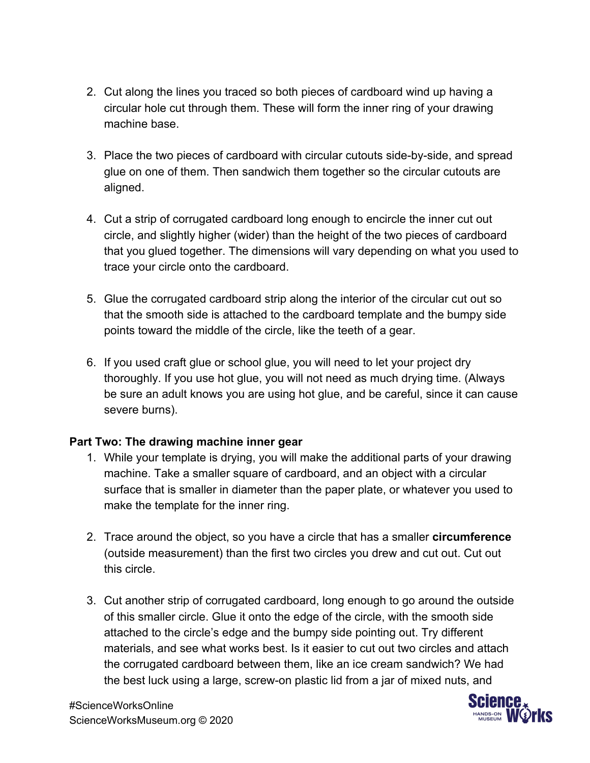- 2. Cut along the lines you traced so both pieces of cardboard wind up having a circular hole cut through them. These will form the inner ring of your drawing machine base.
- 3. Place the two pieces of cardboard with circular cutouts side-by-side, and spread glue on one of them. Then sandwich them together so the circular cutouts are aligned.
- 4. Cut a strip of corrugated cardboard long enough to encircle the inner cut out circle, and slightly higher (wider) than the height of the two pieces of cardboard that you glued together. The dimensions will vary depending on what you used to trace your circle onto the cardboard.
- 5. Glue the corrugated cardboard strip along the interior of the circular cut out so that the smooth side is attached to the cardboard template and the bumpy side points toward the middle of the circle, like the teeth of a gear.
- 6. If you used craft glue or school glue, you will need to let your project dry thoroughly. If you use hot glue, you will not need as much drying time. (Always be sure an adult knows you are using hot glue, and be careful, since it can cause severe burns).

### **Part Two: The drawing machine inner gear**

- 1. While your template is drying, you will make the additional parts of your drawing machine. Take a smaller square of cardboard, and an object with a circular surface that is smaller in diameter than the paper plate, or whatever you used to make the template for the inner ring.
- 2. Trace around the object, so you have a circle that has a smaller **circumference** (outside measurement) than the first two circles you drew and cut out. Cut out this circle.
- 3. Cut another strip of corrugated cardboard, long enough to go around the outside of this smaller circle. Glue it onto the edge of the circle, with the smooth side attached to the circle's edge and the bumpy side pointing out. Try different materials, and see what works best. Is it easier to cut out two circles and attach the corrugated cardboard between them, like an ice cream sandwich? We had the best luck using a large, screw-on plastic lid from a jar of mixed nuts, and

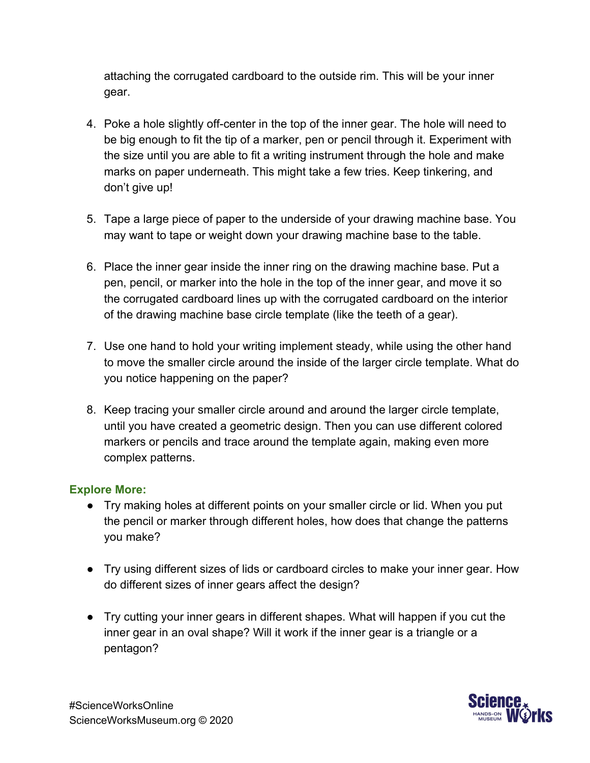attaching the corrugated cardboard to the outside rim. This will be your inner gear.

- 4. Poke a hole slightly off-center in the top of the inner gear. The hole will need to be big enough to fit the tip of a marker, pen or pencil through it. Experiment with the size until you are able to fit a writing instrument through the hole and make marks on paper underneath. This might take a few tries. Keep tinkering, and don't give up!
- 5. Tape a large piece of paper to the underside of your drawing machine base. You may want to tape or weight down your drawing machine base to the table.
- 6. Place the inner gear inside the inner ring on the drawing machine base. Put a pen, pencil, or marker into the hole in the top of the inner gear, and move it so the corrugated cardboard lines up with the corrugated cardboard on the interior of the drawing machine base circle template (like the teeth of a gear).
- 7. Use one hand to hold your writing implement steady, while using the other hand to move the smaller circle around the inside of the larger circle template. What do you notice happening on the paper?
- 8. Keep tracing your smaller circle around and around the larger circle template, until you have created a geometric design. Then you can use different colored markers or pencils and trace around the template again, making even more complex patterns.

### **Explore More:**

- Try making holes at different points on your smaller circle or lid. When you put the pencil or marker through different holes, how does that change the patterns you make?
- Try using different sizes of lids or cardboard circles to make your inner gear. How do different sizes of inner gears affect the design?
- Try cutting your inner gears in different shapes. What will happen if you cut the inner gear in an oval shape? Will it work if the inner gear is a triangle or a pentagon?

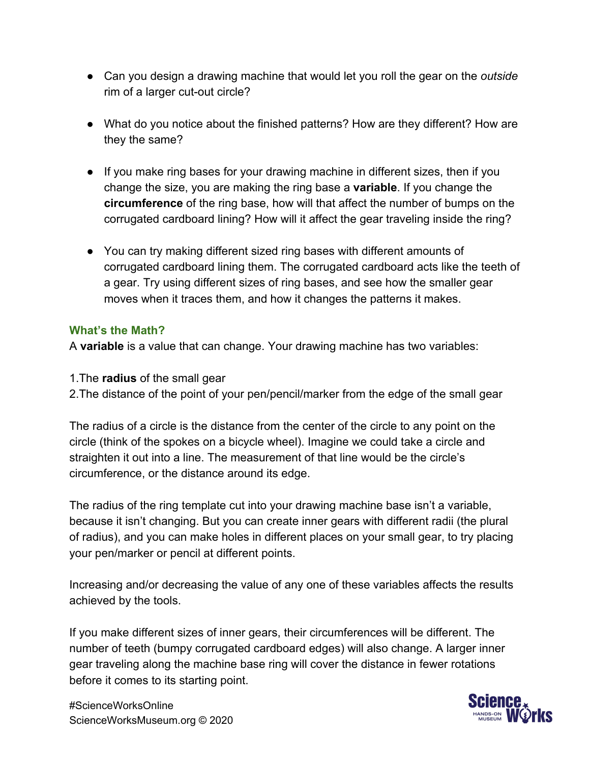- Can you design a drawing machine that would let you roll the gear on the *outside* rim of a larger cut-out circle?
- What do you notice about the finished patterns? How are they different? How are they the same?
- If you make ring bases for your drawing machine in different sizes, then if you change the size, you are making the ring base a **variable**. If you change the **circumference** of the ring base, how will that affect the number of bumps on the corrugated cardboard lining? How will it affect the gear traveling inside the ring?
- You can try making different sized ring bases with different amounts of corrugated cardboard lining them. The corrugated cardboard acts like the teeth of a gear. Try using different sizes of ring bases, and see how the smaller gear moves when it traces them, and how it changes the patterns it makes.

#### **What's the Math?**

A **variable** is a value that can change. Your drawing machine has two variables:

- 1.The **radius** of the small gear
- 2.The distance of the point of your pen/pencil/marker from the edge of the small gear

The radius of a circle is the distance from the center of the circle to any point on the circle (think of the spokes on a bicycle wheel). Imagine we could take a circle and straighten it out into a line. The measurement of that line would be the circle's circumference, or the distance around its edge.

The radius of the ring template cut into your drawing machine base isn't a variable, because it isn't changing. But you can create inner gears with different radii (the plural of radius), and you can make holes in different places on your small gear, to try placing your pen/marker or pencil at different points.

Increasing and/or decreasing the value of any one of these variables affects the results achieved by the tools.

If you make different sizes of inner gears, their circumferences will be different. The number of teeth (bumpy corrugated cardboard edges) will also change. A larger inner gear traveling along the machine base ring will cover the distance in fewer rotations before it comes to its starting point.



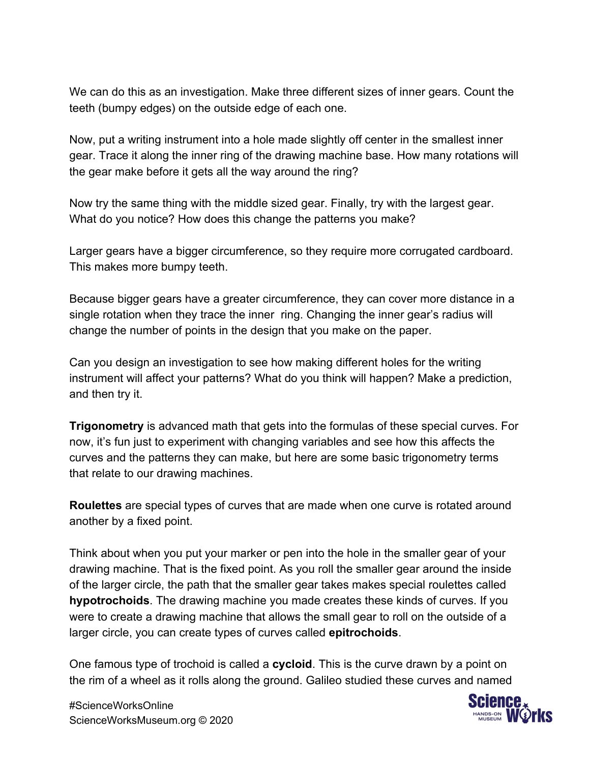We can do this as an investigation. Make three different sizes of inner gears. Count the teeth (bumpy edges) on the outside edge of each one.

Now, put a writing instrument into a hole made slightly off center in the smallest inner gear. Trace it along the inner ring of the drawing machine base. How many rotations will the gear make before it gets all the way around the ring?

Now try the same thing with the middle sized gear. Finally, try with the largest gear. What do you notice? How does this change the patterns you make?

Larger gears have a bigger circumference, so they require more corrugated cardboard. This makes more bumpy teeth.

Because bigger gears have a greater circumference, they can cover more distance in a single rotation when they trace the inner ring. Changing the inner gear's radius will change the number of points in the design that you make on the paper.

Can you design an investigation to see how making different holes for the writing instrument will affect your patterns? What do you think will happen? Make a prediction, and then try it.

**Trigonometry** is advanced math that gets into the formulas of these special curves. For now, it's fun just to experiment with changing variables and see how this affects the curves and the patterns they can make, but here are some basic trigonometry terms that relate to our drawing machines.

**Roulettes** are special types of curves that are made when one curve is rotated around another by a fixed point.

Think about when you put your marker or pen into the hole in the smaller gear of your drawing machine. That is the fixed point. As you roll the smaller gear around the inside of the larger circle, the path that the smaller gear takes makes special roulettes called **hypotrochoids**. The drawing machine you made creates these kinds of curves. If you were to create a drawing machine that allows the small gear to roll on the outside of a larger circle, you can create types of curves called **epitrochoids**.

One famous type of trochoid is called a **cycloid**. This is the curve drawn by a point on the rim of a wheel as it rolls along the ground. Galileo studied these curves and named